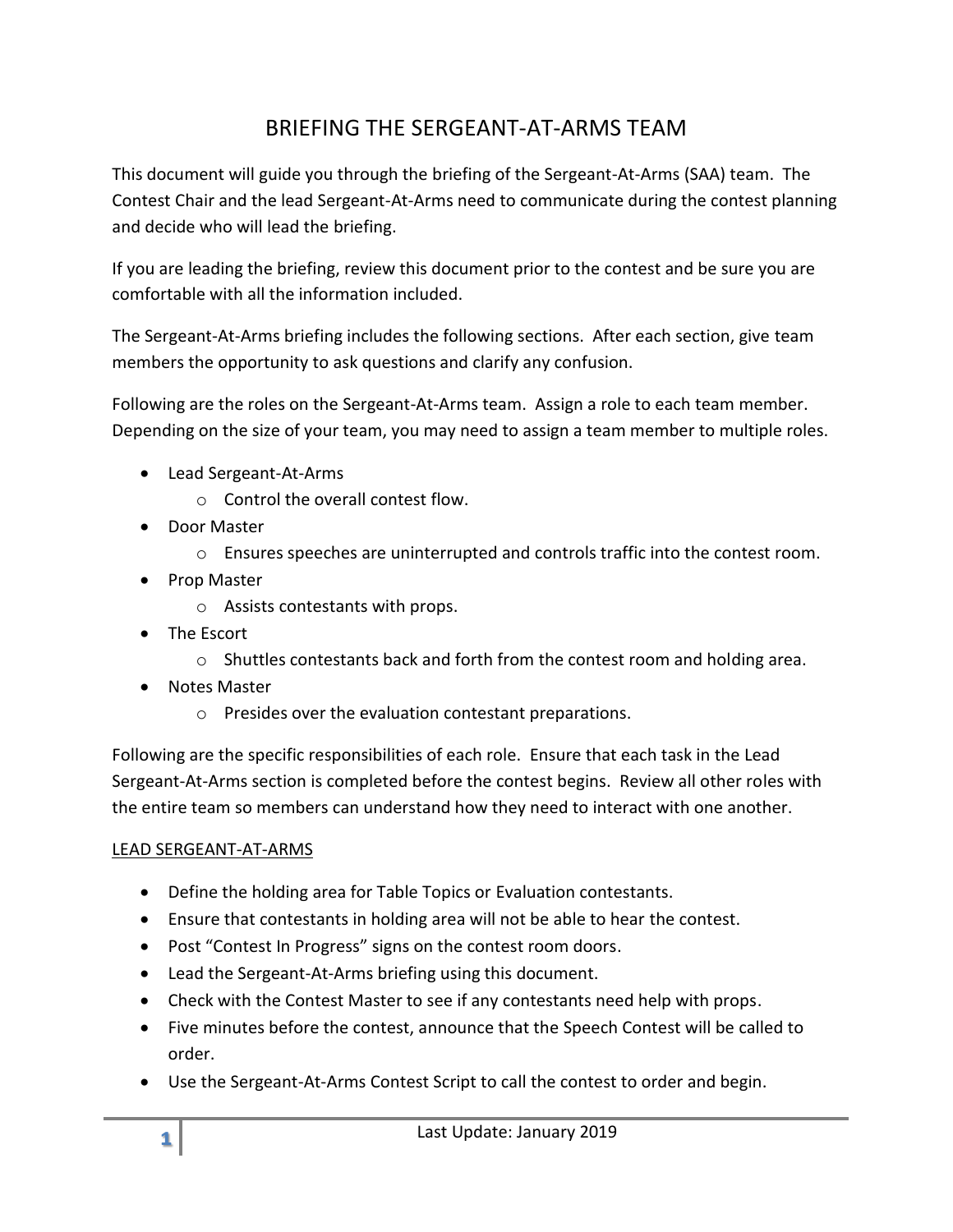# BRIEFING THE SERGEANT-AT-ARMS TEAM

This document will guide you through the briefing of the Sergeant-At-Arms (SAA) team. The Contest Chair and the lead Sergeant-At-Arms need to communicate during the contest planning and decide who will lead the briefing.

If you are leading the briefing, review this document prior to the contest and be sure you are comfortable with all the information included.

The Sergeant-At-Arms briefing includes the following sections. After each section, give team members the opportunity to ask questions and clarify any confusion.

Following are the roles on the Sergeant-At-Arms team. Assign a role to each team member. Depending on the size of your team, you may need to assign a team member to multiple roles.

- Lead Sergeant-At-Arms
	- o Control the overall contest flow.
- Door Master
	- $\circ$  Ensures speeches are uninterrupted and controls traffic into the contest room.
- Prop Master
	- o Assists contestants with props.
- The Escort
	- $\circ$  Shuttles contestants back and forth from the contest room and holding area.
- Notes Master
	- o Presides over the evaluation contestant preparations.

Following are the specific responsibilities of each role. Ensure that each task in the Lead Sergeant-At-Arms section is completed before the contest begins. Review all other roles with the entire team so members can understand how they need to interact with one another.

## LEAD SERGEANT-AT-ARMS

- Define the holding area for Table Topics or Evaluation contestants.
- Ensure that contestants in holding area will not be able to hear the contest.
- Post "Contest In Progress" signs on the contest room doors.
- Lead the Sergeant-At-Arms briefing using this document.
- Check with the Contest Master to see if any contestants need help with props.
- Five minutes before the contest, announce that the Speech Contest will be called to order.
- Use the Sergeant-At-Arms Contest Script to call the contest to order and begin.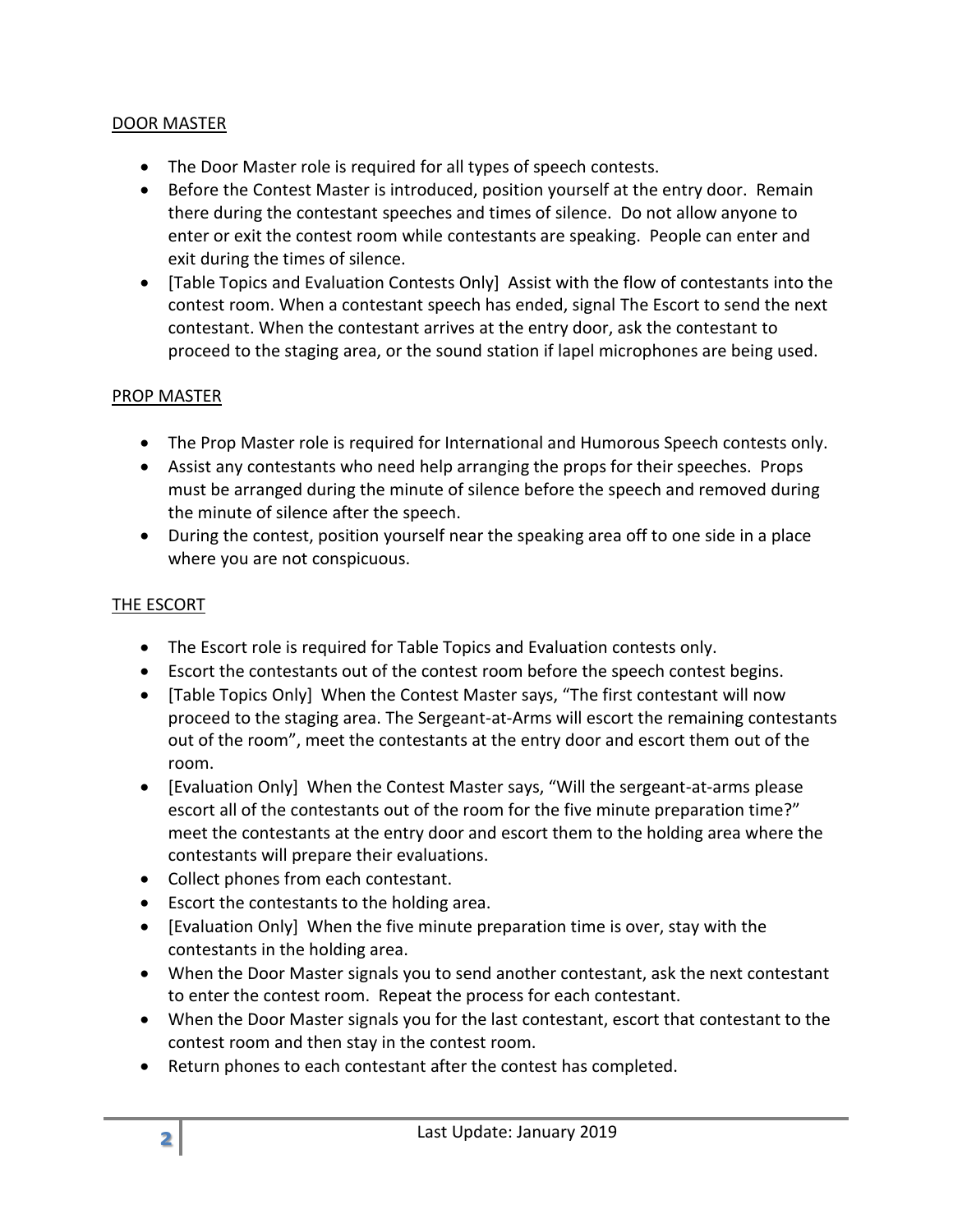## DOOR MASTER

- The Door Master role is required for all types of speech contests.
- Before the Contest Master is introduced, position yourself at the entry door. Remain there during the contestant speeches and times of silence. Do not allow anyone to enter or exit the contest room while contestants are speaking. People can enter and exit during the times of silence.
- [Table Topics and Evaluation Contests Only] Assist with the flow of contestants into the contest room. When a contestant speech has ended, signal The Escort to send the next contestant. When the contestant arrives at the entry door, ask the contestant to proceed to the staging area, or the sound station if lapel microphones are being used.

## PROP MASTER

- The Prop Master role is required for International and Humorous Speech contests only.
- Assist any contestants who need help arranging the props for their speeches. Props must be arranged during the minute of silence before the speech and removed during the minute of silence after the speech.
- During the contest, position yourself near the speaking area off to one side in a place where you are not conspicuous.

#### THE ESCORT

- The Escort role is required for Table Topics and Evaluation contests only.
- Escort the contestants out of the contest room before the speech contest begins.
- [Table Topics Only] When the Contest Master says, "The first contestant will now proceed to the staging area. The Sergeant-at-Arms will escort the remaining contestants out of the room", meet the contestants at the entry door and escort them out of the room.
- [Evaluation Only] When the Contest Master says, "Will the sergeant-at-arms please escort all of the contestants out of the room for the five minute preparation time?" meet the contestants at the entry door and escort them to the holding area where the contestants will prepare their evaluations.
- Collect phones from each contestant.
- Escort the contestants to the holding area.
- [Evaluation Only] When the five minute preparation time is over, stay with the contestants in the holding area.
- When the Door Master signals you to send another contestant, ask the next contestant to enter the contest room. Repeat the process for each contestant.
- When the Door Master signals you for the last contestant, escort that contestant to the contest room and then stay in the contest room.
- Return phones to each contestant after the contest has completed.